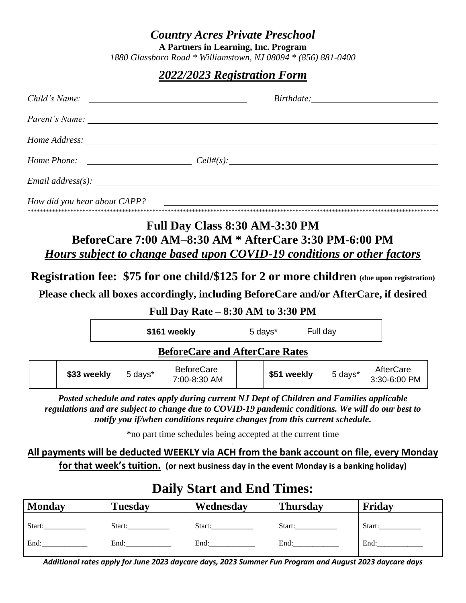#### *Country Acres Private Preschool*

**A Partners in Learning, Inc. Program**

*1880 Glassboro Road \* Williamstown, NJ 08094 \* (856) 881-0400*

### *2022/2023 Registration Form*

|                              |             |              | $Home$ Phone: $Cell#(s)$ :                                                                                                                                                                                                                                                   |                  |  |                     |                                                                                                  |
|------------------------------|-------------|--------------|------------------------------------------------------------------------------------------------------------------------------------------------------------------------------------------------------------------------------------------------------------------------------|------------------|--|---------------------|--------------------------------------------------------------------------------------------------|
|                              |             |              |                                                                                                                                                                                                                                                                              |                  |  |                     |                                                                                                  |
| How did you hear about CAPP? |             |              |                                                                                                                                                                                                                                                                              |                  |  |                     |                                                                                                  |
|                              |             |              | Hours subject to change based upon COVID-19 conditions or other factors<br>Please check all boxes accordingly, including BeforeCare and/or AfterCare, if desired<br>Full Day Rate $-8:30$ AM to 3:30 PM                                                                      |                  |  |                     | <b>Registration fee: \$75 for one child/\$125 for 2 or more children</b> (due upon registration) |
|                              |             | \$161 weekly |                                                                                                                                                                                                                                                                              | 5 days* Full day |  |                     |                                                                                                  |
|                              |             |              | <b>BeforeCare and AfterCare Rates</b>                                                                                                                                                                                                                                        |                  |  |                     |                                                                                                  |
|                              | \$33 weekly | 5 days*      | <b>BeforeCare</b><br>7:00-8:30 AM                                                                                                                                                                                                                                            |                  |  | \$51 weekly 5 days* | AfterCare<br>3:30-6:00 PM                                                                        |
|                              |             |              | Posted schedule and rates apply during current NJ Dept of Children and Families applicable<br>regulations and are subject to change due to COVID-19 pandemic conditions. We will do our best to<br>notify you if/when conditions require changes from this current schedule. |                  |  |                     |                                                                                                  |

\*no part time schedules being accepted at the current time

**All payments will be deducted WEEKLY via ACH from the bank account on file, every Monday for that week's tuition. (or next business day in the event Monday is a banking holiday)**

# **Daily Start and End Times:**

| <b>Monday</b> | <b>Tuesday</b> | Wednesday | <b>Thursday</b> | Friday |
|---------------|----------------|-----------|-----------------|--------|
| Start:        | Start:         | Start:    | Start:          | Start: |
| End:          | End:           | End:      | End:            | End:   |

*Additional rates apply for June 2023 daycare days, 2023 Summer Fun Program and August 2023 daycare days*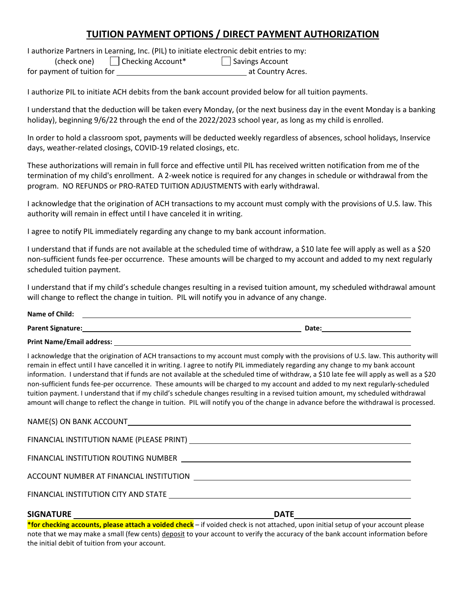#### **TUITION PAYMENT OPTIONS / DIRECT PAYMENT AUTHORIZATION**

I authorize Partners in Learning, Inc. (PIL) to initiate electronic debit entries to my:

(check one) Checking Account\* Savings Account

for payment of tuition for at Country Acres.

I authorize PIL to initiate ACH debits from the bank account provided below for all tuition payments.

I understand that the deduction will be taken every Monday, (or the next business day in the event Monday is a banking holiday), beginning 9/6/22 through the end of the 2022/2023 school year, as long as my child is enrolled.

In order to hold a classroom spot, payments will be deducted weekly regardless of absences, school holidays, Inservice days, weather-related closings, COVID-19 related closings, etc.

These authorizations will remain in full force and effective until PIL has received written notification from me of the termination of my child's enrollment. A 2-week notice is required for any changes in schedule or withdrawal from the program. NO REFUNDS or PRO-RATED TUITION ADJUSTMENTS with early withdrawal.

I acknowledge that the origination of ACH transactions to my account must comply with the provisions of U.S. law. This authority will remain in effect until I have canceled it in writing.

I agree to notify PIL immediately regarding any change to my bank account information.

I understand that if funds are not available at the scheduled time of withdraw, a \$10 late fee will apply as well as a \$20 non-sufficient funds fee-per occurrence. These amounts will be charged to my account and added to my next regularly scheduled tuition payment.

I understand that if my child's schedule changes resulting in a revised tuition amount, my scheduled withdrawal amount will change to reflect the change in tuition. PIL will notify you in advance of any change.

| Name of Child:    |       |
|-------------------|-------|
| Parent Signature: | Date: |

**Print Name/Email address:** 

I acknowledge that the origination of ACH transactions to my account must comply with the provisions of U.S. law. This authority will remain in effect until I have cancelled it in writing. I agree to notify PIL immediately regarding any change to my bank account information. I understand that if funds are not available at the scheduled time of withdraw, a \$10 late fee will apply as well as a \$20 non-sufficient funds fee-per occurrence. These amounts will be charged to my account and added to my next regularly-scheduled tuition payment. I understand that if my child's schedule changes resulting in a revised tuition amount, my scheduled withdrawal amount will change to reflect the change in tuition. PIL will notify you of the change in advance before the withdrawal is processed.

| <b>SIGNATURE</b><br><u> 1980 - Johann Stoff, deutscher Stoff, der Stoff, der Stoff, der Stoff, der Stoff, der Stoff, der Stoff, der S</u> | <b>DATE</b>                                                                                                                                                                                                                    |
|-------------------------------------------------------------------------------------------------------------------------------------------|--------------------------------------------------------------------------------------------------------------------------------------------------------------------------------------------------------------------------------|
|                                                                                                                                           |                                                                                                                                                                                                                                |
|                                                                                                                                           | ACCOUNT NUMBER AT FINANCIAL INSTITUTION [100] [100] [100] [100] [100] [100] [100] [100] [100] [100] [100] [100] [100] [100] [100] [100] [100] [100] [100] [100] [100] [100] [100] [100] [100] [100] [100] [100] [100] [100] [1 |
|                                                                                                                                           |                                                                                                                                                                                                                                |
|                                                                                                                                           |                                                                                                                                                                                                                                |
|                                                                                                                                           |                                                                                                                                                                                                                                |

**\*for checking accounts, please attach a voided check** – if voided check is not attached, upon initial setup of your account please note that we may make a small (few cents) deposit to your account to verify the accuracy of the bank account information before the initial debit of tuition from your account.